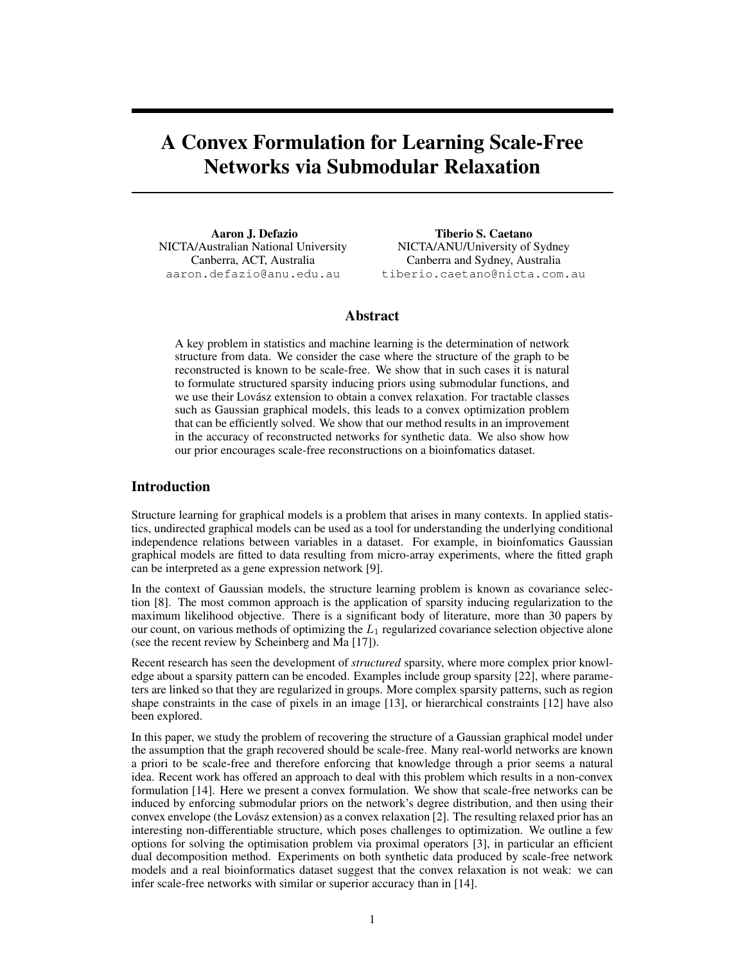# A Convex Formulation for Learning Scale-Free Networks via Submodular Relaxation

Aaron J. Defazio NICTA/Australian National University Canberra, ACT, Australia aaron.defazio@anu.edu.au

Tiberio S. Caetano NICTA/ANU/University of Sydney Canberra and Sydney, Australia tiberio.caetano@nicta.com.au

# Abstract

A key problem in statistics and machine learning is the determination of network structure from data. We consider the case where the structure of the graph to be reconstructed is known to be scale-free. We show that in such cases it is natural to formulate structured sparsity inducing priors using submodular functions, and we use their Lovasz extension to obtain a convex relaxation. For tractable classes ´ such as Gaussian graphical models, this leads to a convex optimization problem that can be efficiently solved. We show that our method results in an improvement in the accuracy of reconstructed networks for synthetic data. We also show how our prior encourages scale-free reconstructions on a bioinfomatics dataset.

## Introduction

Structure learning for graphical models is a problem that arises in many contexts. In applied statistics, undirected graphical models can be used as a tool for understanding the underlying conditional independence relations between variables in a dataset. For example, in bioinfomatics Gaussian graphical models are fitted to data resulting from micro-array experiments, where the fitted graph can be interpreted as a gene expression network [9].

In the context of Gaussian models, the structure learning problem is known as covariance selection [8]. The most common approach is the application of sparsity inducing regularization to the maximum likelihood objective. There is a significant body of literature, more than 30 papers by our count, on various methods of optimizing the  $L_1$  regularized covariance selection objective alone (see the recent review by Scheinberg and Ma [17]).

Recent research has seen the development of *structured* sparsity, where more complex prior knowledge about a sparsity pattern can be encoded. Examples include group sparsity [22], where parameters are linked so that they are regularized in groups. More complex sparsity patterns, such as region shape constraints in the case of pixels in an image [13], or hierarchical constraints [12] have also been explored.

In this paper, we study the problem of recovering the structure of a Gaussian graphical model under the assumption that the graph recovered should be scale-free. Many real-world networks are known a priori to be scale-free and therefore enforcing that knowledge through a prior seems a natural idea. Recent work has offered an approach to deal with this problem which results in a non-convex formulation [14]. Here we present a convex formulation. We show that scale-free networks can be induced by enforcing submodular priors on the network's degree distribution, and then using their convex envelope (the Lovász extension) as a convex relaxation [2]. The resulting relaxed prior has an interesting non-differentiable structure, which poses challenges to optimization. We outline a few options for solving the optimisation problem via proximal operators [3], in particular an efficient dual decomposition method. Experiments on both synthetic data produced by scale-free network models and a real bioinformatics dataset suggest that the convex relaxation is not weak: we can infer scale-free networks with similar or superior accuracy than in [14].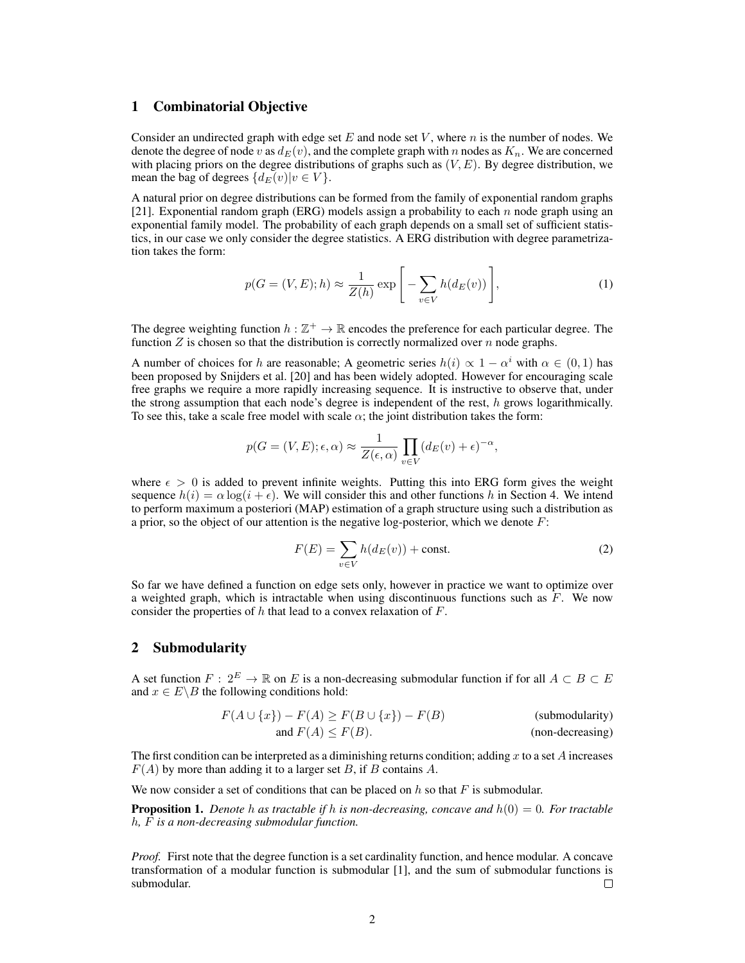## 1 Combinatorial Objective

Consider an undirected graph with edge set E and node set V, where n is the number of nodes. We denote the degree of node v as  $d_E(v)$ , and the complete graph with n nodes as  $K_n$ . We are concerned with placing priors on the degree distributions of graphs such as  $(V, E)$ . By degree distribution, we mean the bag of degrees  $\{d_E(v)|v \in V\}$ .

A natural prior on degree distributions can be formed from the family of exponential random graphs [21]. Exponential random graph (ERG) models assign a probability to each n node graph using an exponential family model. The probability of each graph depends on a small set of sufficient statistics, in our case we only consider the degree statistics. A ERG distribution with degree parametrization takes the form:

$$
p(G = (V, E); h) \approx \frac{1}{Z(h)} \exp\left[-\sum_{v \in V} h(d_E(v))\right],\tag{1}
$$

The degree weighting function  $h : \mathbb{Z}^+ \to \mathbb{R}$  encodes the preference for each particular degree. The function  $Z$  is chosen so that the distribution is correctly normalized over  $n$  node graphs.

A number of choices for h are reasonable; A geometric series  $h(i) \propto 1 - \alpha^i$  with  $\alpha \in (0,1)$  has been proposed by Snijders et al. [20] and has been widely adopted. However for encouraging scale free graphs we require a more rapidly increasing sequence. It is instructive to observe that, under the strong assumption that each node's degree is independent of the rest,  $h$  grows logarithmically. To see this, take a scale free model with scale  $\alpha$ ; the joint distribution takes the form:

$$
p(G = (V, E); \epsilon, \alpha) \approx \frac{1}{Z(\epsilon, \alpha)} \prod_{v \in V} (d_E(v) + \epsilon)^{-\alpha},
$$

where  $\epsilon > 0$  is added to prevent infinite weights. Putting this into ERG form gives the weight sequence  $h(i) = \alpha \log(i + \epsilon)$ . We will consider this and other functions h in Section 4. We intend to perform maximum a posteriori (MAP) estimation of a graph structure using such a distribution as a prior, so the object of our attention is the negative log-posterior, which we denote  $F$ :

$$
F(E) = \sum_{v \in V} h(d_E(v)) + \text{const.}
$$
 (2)

So far we have defined a function on edge sets only, however in practice we want to optimize over a weighted graph, which is intractable when using discontinuous functions such as  $F$ . We now consider the properties of  $h$  that lead to a convex relaxation of  $F$ .

## 2 Submodularity

A set function  $F: 2^E \to \mathbb{R}$  on E is a non-decreasing submodular function if for all  $A \subset B \subset E$ and  $x \in E \backslash B$  the following conditions hold:

$$
F(A \cup \{x\}) - F(A) \ge F(B \cup \{x\}) - F(B)
$$
 (submodularity)  
and  $F(A) \le F(B)$ . (non-decreasing)

The first condition can be interpreted as a diminishing returns condition; adding x to a set A increases  $F(A)$  by more than adding it to a larger set B, if B contains A.

We now consider a set of conditions that can be placed on  $h$  so that  $F$  is submodular.

Proposition 1. *Denote* h *as tractable if* h *is non-decreasing, concave and* h(0) = 0*. For tractable* h*,* F *is a non-decreasing submodular function.*

*Proof.* First note that the degree function is a set cardinality function, and hence modular. A concave transformation of a modular function is submodular [1], and the sum of submodular functions is submodular. П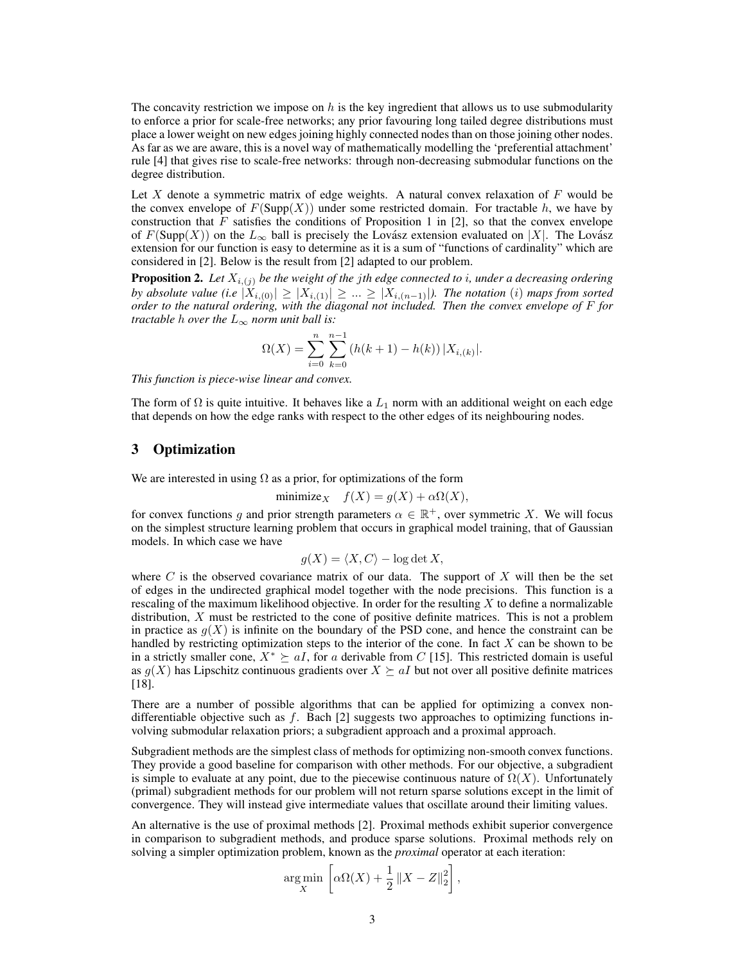The concavity restriction we impose on  $h$  is the key ingredient that allows us to use submodularity to enforce a prior for scale-free networks; any prior favouring long tailed degree distributions must place a lower weight on new edges joining highly connected nodes than on those joining other nodes. As far as we are aware, this is a novel way of mathematically modelling the 'preferential attachment' rule [4] that gives rise to scale-free networks: through non-decreasing submodular functions on the degree distribution.

Let X denote a symmetric matrix of edge weights. A natural convex relaxation of  $F$  would be the convex envelope of  $F(Supp(X))$  under some restricted domain. For tractable h, we have by construction that  $F$  satisfies the conditions of Proposition 1 in [2], so that the convex envelope of  $F(\text{Supp}(X))$  on the  $L_{\infty}$  ball is precisely the Lovász extension evaluated on  $|X|$ . The Lovász extension for our function is easy to determine as it is a sum of "functions of cardinality" which are considered in [2]. Below is the result from [2] adapted to our problem.

**Proposition 2.** Let  $X_{i,(j)}$  be the weight of the jth edge connected to i, under a decreasing ordering *by absolute value (i.e*  $|X_{i,(0)}| \geq |X_{i,(1)}| \geq ... \geq |X_{i,(n-1)}|$ *). The notation (i) maps from sorted order to the natural ordering, with the diagonal not included. Then the convex envelope of* F *for tractable h over the*  $L_{\infty}$  *norm unit ball is:* 

$$
\Omega(X) = \sum_{i=0}^{n} \sum_{k=0}^{n-1} (h(k+1) - h(k)) |X_{i,(k)}|.
$$

*This function is piece-wise linear and convex.*

The form of  $\Omega$  is quite intuitive. It behaves like a  $L_1$  norm with an additional weight on each edge that depends on how the edge ranks with respect to the other edges of its neighbouring nodes.

## 3 Optimization

We are interested in using  $\Omega$  as a prior, for optimizations of the form

$$
\text{minimize}_{X} \quad f(X) = g(X) + \alpha \Omega(X),
$$

for convex functions g and prior strength parameters  $\alpha \in \mathbb{R}^+$ , over symmetric X. We will focus on the simplest structure learning problem that occurs in graphical model training, that of Gaussian models. In which case we have

$$
g(X) = \langle X, C \rangle - \log \det X,
$$

where  $C$  is the observed covariance matrix of our data. The support of  $X$  will then be the set of edges in the undirected graphical model together with the node precisions. This function is a rescaling of the maximum likelihood objective. In order for the resulting  $X$  to define a normalizable distribution, X must be restricted to the cone of positive definite matrices. This is not a problem in practice as  $g(X)$  is infinite on the boundary of the PSD cone, and hence the constraint can be handled by restricting optimization steps to the interior of the cone. In fact  $X$  can be shown to be in a strictly smaller cone,  $X^* \ge aI$ , for a derivable from C [15]. This restricted domain is useful as  $g(X)$  has Lipschitz continuous gradients over  $X \succeq aI$  but not over all positive definite matrices [18].

There are a number of possible algorithms that can be applied for optimizing a convex nondifferentiable objective such as  $f$ . Bach [2] suggests two approaches to optimizing functions involving submodular relaxation priors; a subgradient approach and a proximal approach.

Subgradient methods are the simplest class of methods for optimizing non-smooth convex functions. They provide a good baseline for comparison with other methods. For our objective, a subgradient is simple to evaluate at any point, due to the piecewise continuous nature of  $\Omega(X)$ . Unfortunately (primal) subgradient methods for our problem will not return sparse solutions except in the limit of convergence. They will instead give intermediate values that oscillate around their limiting values.

An alternative is the use of proximal methods [2]. Proximal methods exhibit superior convergence in comparison to subgradient methods, and produce sparse solutions. Proximal methods rely on solving a simpler optimization problem, known as the *proximal* operator at each iteration:

$$
\underset{X}{\arg\min} \left[ \alpha \Omega(X) + \frac{1}{2} \left\| X - Z \right\|_2^2 \right],
$$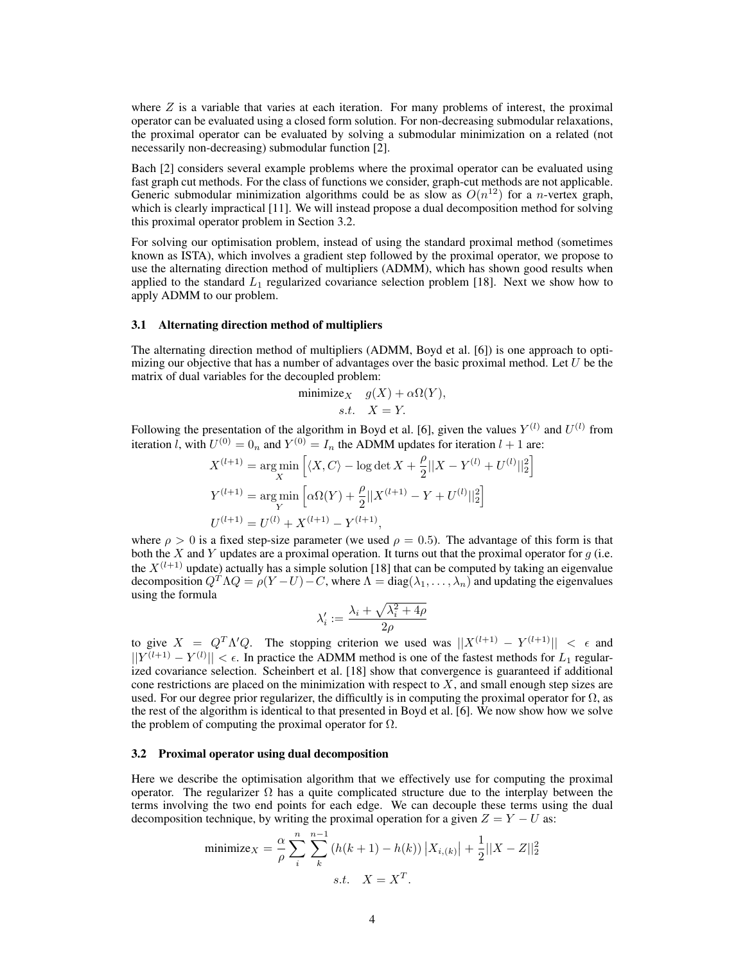where  $Z$  is a variable that varies at each iteration. For many problems of interest, the proximal operator can be evaluated using a closed form solution. For non-decreasing submodular relaxations, the proximal operator can be evaluated by solving a submodular minimization on a related (not necessarily non-decreasing) submodular function [2].

Bach [2] considers several example problems where the proximal operator can be evaluated using fast graph cut methods. For the class of functions we consider, graph-cut methods are not applicable. Generic submodular minimization algorithms could be as slow as  $O(n^{12})$  for a *n*-vertex graph, which is clearly impractical [11]. We will instead propose a dual decomposition method for solving this proximal operator problem in Section 3.2.

For solving our optimisation problem, instead of using the standard proximal method (sometimes known as ISTA), which involves a gradient step followed by the proximal operator, we propose to use the alternating direction method of multipliers (ADMM), which has shown good results when applied to the standard  $L_1$  regularized covariance selection problem [18]. Next we show how to apply ADMM to our problem.

#### 3.1 Alternating direction method of multipliers

The alternating direction method of multipliers (ADMM, Boyd et al. [6]) is one approach to optimizing our objective that has a number of advantages over the basic proximal method. Let  $U$  be the matrix of dual variables for the decoupled problem:

$$
\begin{array}{ll}\text{minimize}_{X} & g(X) + \alpha \Omega(Y), \\ \text{s.t.} & X = Y. \end{array}
$$

Following the presentation of the algorithm in Boyd et al. [6], given the values  $Y^{(l)}$  and  $U^{(l)}$  from iteration *l*, with  $U^{(0)} = 0_n$  and  $Y^{(0)} = I_n$  the ADMM updates for iteration  $l + 1$  are:

i

$$
X^{(l+1)} = \underset{Y}{\arg\min} \left[ \langle X, C \rangle - \log \det X + \frac{\rho}{2} ||X - Y^{(l)} + U^{(l)}||_2^2 \right]
$$
  

$$
Y^{(l+1)} = \underset{Y}{\arg\min} \left[ \alpha \Omega(Y) + \frac{\rho}{2} ||X^{(l+1)} - Y + U^{(l)}||_2^2 \right]
$$
  

$$
U^{(l+1)} = U^{(l)} + X^{(l+1)} - Y^{(l+1)},
$$

where  $\rho > 0$  is a fixed step-size parameter (we used  $\rho = 0.5$ ). The advantage of this form is that both the  $X$  and  $Y$  updates are a proximal operation. It turns out that the proximal operator for  $g$  (i.e. the  $X^{(l+1)}$  update) actually has a simple solution [18] that can be computed by taking an eigenvalue decomposition  $Q^T \Lambda Q = \rho(Y-U) - C$ , where  $\Lambda = \text{diag}(\lambda_1, \ldots, \lambda_n)$  and updating the eigenvalues using the formula

$$
\lambda'_i := \frac{\lambda_i + \sqrt{\lambda_i^2 + 4\rho}}{2\rho}
$$

to give  $X = Q^T \Lambda' Q$ . The stopping criterion we used was  $||X^{(l+1)} - Y^{(l+1)}|| < \epsilon$  and  $||Y^{(l+1)} - Y^{(l)}|| < \epsilon$ . In practice the ADMM method is one of the fastest methods for  $L_1$  regularized covariance selection. Scheinbert et al. [18] show that convergence is guaranteed if additional cone restrictions are placed on the minimization with respect to  $X$ , and small enough step sizes are used. For our degree prior regularizer, the difficultly is in computing the proximal operator for  $\Omega$ , as the rest of the algorithm is identical to that presented in Boyd et al. [6]. We now show how we solve the problem of computing the proximal operator for  $\Omega$ .

#### 3.2 Proximal operator using dual decomposition

Here we describe the optimisation algorithm that we effectively use for computing the proximal operator. The regularizer  $\Omega$  has a quite complicated structure due to the interplay between the terms involving the two end points for each edge. We can decouple these terms using the dual decomposition technique, by writing the proximal operation for a given  $Z = Y - U$  as:

minimize<sub>X</sub> = 
$$
\frac{\alpha}{\rho} \sum_{i}^{n} \sum_{k}^{n-1} (h(k+1) - h(k)) |X_{i,(k)}| + \frac{1}{2} ||X - Z||_2^2
$$
  
s.t.  $X = X^T$ .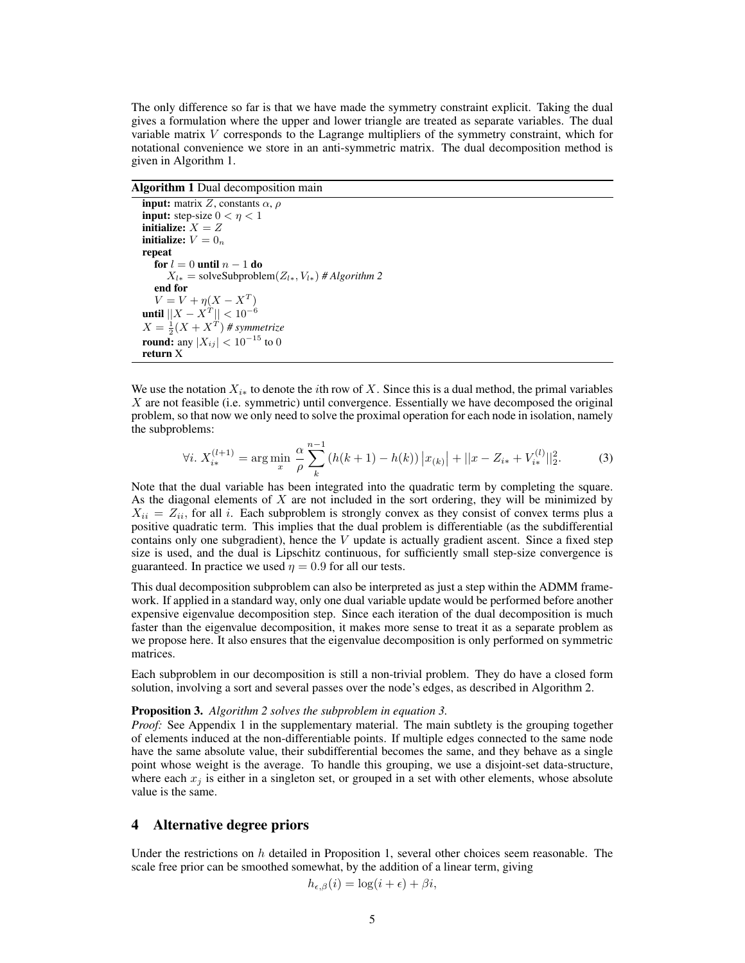The only difference so far is that we have made the symmetry constraint explicit. Taking the dual gives a formulation where the upper and lower triangle are treated as separate variables. The dual variable matrix V corresponds to the Lagrange multipliers of the symmetry constraint, which for notational convenience we store in an anti-symmetric matrix. The dual decomposition method is given in Algorithm 1.

Algorithm 1 Dual decomposition main

input: matrix Z, constants  $\alpha$ ,  $\rho$ input: step-size  $0 < \eta < 1$ initialize:  $X = Z$ initialize:  $V = 0_n$ repeat for  $l=0$  until  $n-1$  do  $X_{l*}$  = solveSubproblem( $Z_{l*}$ ,  $V_{l*}$ ) # Algorithm 2 end for  $V = V + \eta (X - X^T)$ until  $||X - X^T|| < 10^{-6}$  $X = \frac{1}{2}(X + X^T)$  # symmetrize **round:** any  $|X_{ij}| < 10^{-15}$  to 0 return X

We use the notation  $X_{i*}$  to denote the *i*th row of X. Since this is a dual method, the primal variables X are not feasible (i.e. symmetric) until convergence. Essentially we have decomposed the original problem, so that now we only need to solve the proximal operation for each node in isolation, namely the subproblems:

$$
\forall i. \ X_{i*}^{(l+1)} = \arg\min_{x} \frac{\alpha}{\rho} \sum_{k}^{n-1} \left( h(k+1) - h(k) \right) |x_{(k)}| + ||x - Z_{i*} + V_{i*}^{(l)}||_2^2.
$$
 (3)

Note that the dual variable has been integrated into the quadratic term by completing the square. As the diagonal elements of  $X$  are not included in the sort ordering, they will be minimized by  $X_{ii} = Z_{ii}$ , for all i. Each subproblem is strongly convex as they consist of convex terms plus a positive quadratic term. This implies that the dual problem is differentiable (as the subdifferential contains only one subgradient), hence the  $V$  update is actually gradient ascent. Since a fixed step size is used, and the dual is Lipschitz continuous, for sufficiently small step-size convergence is guaranteed. In practice we used  $\eta = 0.9$  for all our tests.

This dual decomposition subproblem can also be interpreted as just a step within the ADMM framework. If applied in a standard way, only one dual variable update would be performed before another expensive eigenvalue decomposition step. Since each iteration of the dual decomposition is much faster than the eigenvalue decomposition, it makes more sense to treat it as a separate problem as we propose here. It also ensures that the eigenvalue decomposition is only performed on symmetric matrices.

Each subproblem in our decomposition is still a non-trivial problem. They do have a closed form solution, involving a sort and several passes over the node's edges, as described in Algorithm 2.

#### Proposition 3. *Algorithm 2 solves the subproblem in equation 3.*

*Proof:* See Appendix 1 in the supplementary material. The main subtlety is the grouping together of elements induced at the non-differentiable points. If multiple edges connected to the same node have the same absolute value, their subdifferential becomes the same, and they behave as a single point whose weight is the average. To handle this grouping, we use a disjoint-set data-structure, where each  $x_j$  is either in a singleton set, or grouped in a set with other elements, whose absolute value is the same.

## 4 Alternative degree priors

Under the restrictions on h detailed in Proposition 1, several other choices seem reasonable. The scale free prior can be smoothed somewhat, by the addition of a linear term, giving

$$
h_{\epsilon,\beta}(i) = \log(i+\epsilon) + \beta i,
$$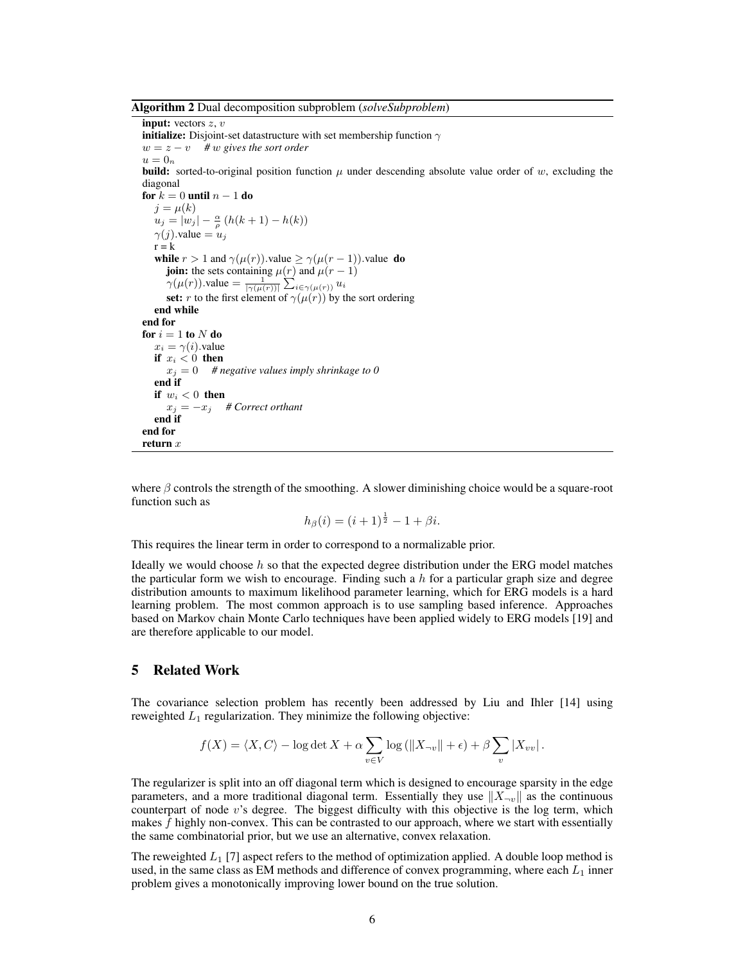Algorithm 2 Dual decomposition subproblem (*solveSubproblem*)

input: vectors  $z, v$ **initialize:** Disjoint-set datastructure with set membership function  $\gamma$  $w = z - v$  *# w gives the sort order*  $u=0_n$ **build:** sorted-to-original position function  $\mu$  under descending absolute value order of  $w$ , excluding the diagonal for  $k = 0$  until  $n - 1$  do  $j = \mu(k)$  $u_j = |w_j| - \frac{\alpha}{\rho} (h(k+1) - h(k))$  $\gamma(j)$ .value =  $u_i$  $r = k$ while  $r > 1$  and  $\gamma(\mu(r))$ .value  $\geq \gamma(\mu(r-1))$ .value do **join:** the sets containing  $\mu(r)$  and  $\mu(r-1)$  $\gamma(\mu(r))$ .value  $=\frac{1}{|\gamma(\mu(r))|} \sum_{i \in \gamma(\mu(r))} u_i$ set: r to the first element of  $\gamma(\mu(r))$  by the sort ordering end while end for for  $i = 1$  to N do  $x_i = \gamma(i)$ .value if  $x_i < 0$  then  $x_i = 0$  # negative values imply shrinkage to 0 end if if  $w_i < 0$  then  $x_j = -x_j$  # Correct orthant end if end for return  $x$ 

where  $\beta$  controls the strength of the smoothing. A slower diminishing choice would be a square-root function such as

$$
h_{\beta}(i) = (i+1)^{\frac{1}{2}} - 1 + \beta i.
$$

This requires the linear term in order to correspond to a normalizable prior.

Ideally we would choose  $h$  so that the expected degree distribution under the ERG model matches the particular form we wish to encourage. Finding such a h for a particular graph size and degree distribution amounts to maximum likelihood parameter learning, which for ERG models is a hard learning problem. The most common approach is to use sampling based inference. Approaches based on Markov chain Monte Carlo techniques have been applied widely to ERG models [19] and are therefore applicable to our model.

## 5 Related Work

The covariance selection problem has recently been addressed by Liu and Ihler [14] using reweighted  $L_1$  regularization. They minimize the following objective:

$$
f(X) = \langle X, C \rangle - \log \det X + \alpha \sum_{v \in V} \log (||X_{\neg v}|| + \epsilon) + \beta \sum_{v} |X_{vv}|.
$$

The regularizer is split into an off diagonal term which is designed to encourage sparsity in the edge parameters, and a more traditional diagonal term. Essentially they use  $||X_{\neg v}||$  as the continuous counterpart of node  $v$ 's degree. The biggest difficulty with this objective is the log term, which makes  $f$  highly non-convex. This can be contrasted to our approach, where we start with essentially the same combinatorial prior, but we use an alternative, convex relaxation.

The reweighted  $L_1$  [7] aspect refers to the method of optimization applied. A double loop method is used, in the same class as EM methods and difference of convex programming, where each  $L_1$  inner problem gives a monotonically improving lower bound on the true solution.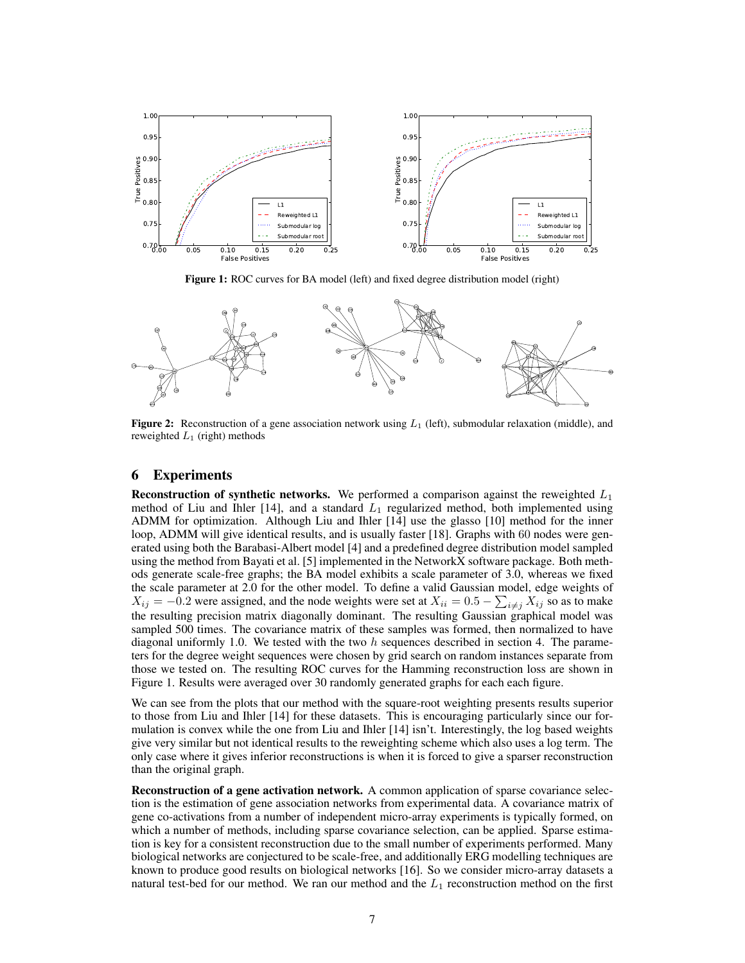

Figure 1: ROC curves for BA model (left) and fixed degree distribution model (right)



**Figure 2:** Reconstruction of a gene association network using  $L_1$  (left), submodular relaxation (middle), and reweighted  $L_1$  (right) methods

## 6 Experiments

**Reconstruction of synthetic networks.** We performed a comparison against the reweighted  $L_1$ method of Liu and Ihler  $[14]$ , and a standard  $L_1$  regularized method, both implemented using ADMM for optimization. Although Liu and Ihler [14] use the glasso [10] method for the inner loop, ADMM will give identical results, and is usually faster [18]. Graphs with 60 nodes were generated using both the Barabasi-Albert model [4] and a predefined degree distribution model sampled using the method from Bayati et al. [5] implemented in the NetworkX software package. Both methods generate scale-free graphs; the BA model exhibits a scale parameter of 3.0, whereas we fixed the scale parameter at 2.0 for the other model. To define a valid Gaussian model, edge weights of  $X_{ij} = -0.2$  were assigned, and the node weights were set at  $X_{ii} = 0.5 - \sum_{i \neq j} X_{ij}$  so as to make the resulting precision matrix diagonally dominant. The resulting Gaussian graphical model was sampled 500 times. The covariance matrix of these samples was formed, then normalized to have diagonal uniformly 1.0. We tested with the two  $h$  sequences described in section 4. The parameters for the degree weight sequences were chosen by grid search on random instances separate from those we tested on. The resulting ROC curves for the Hamming reconstruction loss are shown in Figure 1. Results were averaged over 30 randomly generated graphs for each each figure.

We can see from the plots that our method with the square-root weighting presents results superior to those from Liu and Ihler [14] for these datasets. This is encouraging particularly since our formulation is convex while the one from Liu and Ihler [14] isn't. Interestingly, the log based weights give very similar but not identical results to the reweighting scheme which also uses a log term. The only case where it gives inferior reconstructions is when it is forced to give a sparser reconstruction than the original graph.

Reconstruction of a gene activation network. A common application of sparse covariance selection is the estimation of gene association networks from experimental data. A covariance matrix of gene co-activations from a number of independent micro-array experiments is typically formed, on which a number of methods, including sparse covariance selection, can be applied. Sparse estimation is key for a consistent reconstruction due to the small number of experiments performed. Many biological networks are conjectured to be scale-free, and additionally ERG modelling techniques are known to produce good results on biological networks [16]. So we consider micro-array datasets a natural test-bed for our method. We ran our method and the  $L_1$  reconstruction method on the first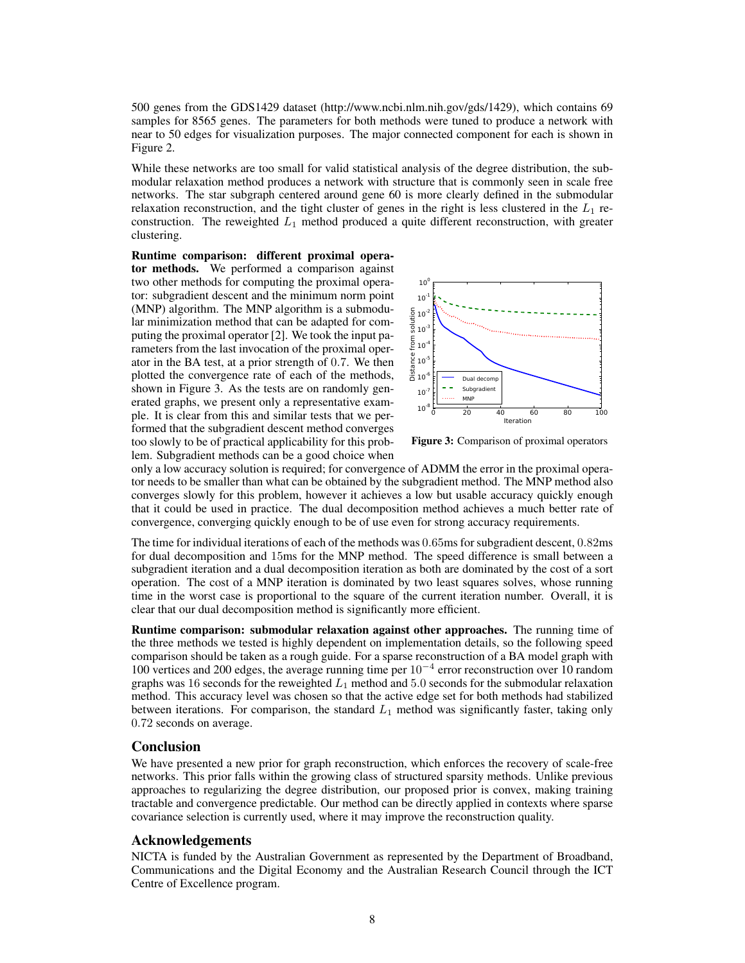500 genes from the GDS1429 dataset (http://www.ncbi.nlm.nih.gov/gds/1429), which contains 69 samples for 8565 genes. The parameters for both methods were tuned to produce a network with near to 50 edges for visualization purposes. The major connected component for each is shown in Figure 2.

While these networks are too small for valid statistical analysis of the degree distribution, the submodular relaxation method produces a network with structure that is commonly seen in scale free networks. The star subgraph centered around gene 60 is more clearly defined in the submodular relaxation reconstruction, and the tight cluster of genes in the right is less clustered in the  $L_1$  reconstruction. The reweighted  $L_1$  method produced a quite different reconstruction, with greater clustering.

Runtime comparison: different proximal operator methods. We performed a comparison against two other methods for computing the proximal operator: subgradient descent and the minimum norm point (MNP) algorithm. The MNP algorithm is a submodular minimization method that can be adapted for computing the proximal operator [2]. We took the input parameters from the last invocation of the proximal operator in the BA test, at a prior strength of 0.7. We then plotted the convergence rate of each of the methods, shown in Figure 3. As the tests are on randomly generated graphs, we present only a representative example. It is clear from this and similar tests that we performed that the subgradient descent method converges too slowly to be of practical applicability for this problem. Subgradient methods can be a good choice when



Figure 3: Comparison of proximal operators

only a low accuracy solution is required; for convergence of ADMM the error in the proximal operator needs to be smaller than what can be obtained by the subgradient method. The MNP method also converges slowly for this problem, however it achieves a low but usable accuracy quickly enough that it could be used in practice. The dual decomposition method achieves a much better rate of convergence, converging quickly enough to be of use even for strong accuracy requirements.

The time for individual iterations of each of the methods was 0.65ms for subgradient descent, 0.82ms for dual decomposition and 15ms for the MNP method. The speed difference is small between a subgradient iteration and a dual decomposition iteration as both are dominated by the cost of a sort operation. The cost of a MNP iteration is dominated by two least squares solves, whose running time in the worst case is proportional to the square of the current iteration number. Overall, it is clear that our dual decomposition method is significantly more efficient.

Runtime comparison: submodular relaxation against other approaches. The running time of the three methods we tested is highly dependent on implementation details, so the following speed comparison should be taken as a rough guide. For a sparse reconstruction of a BA model graph with 100 vertices and 200 edges, the average running time per 10<sup>−</sup><sup>4</sup> error reconstruction over 10 random graphs was 16 seconds for the reweighted  $L_1$  method and 5.0 seconds for the submodular relaxation method. This accuracy level was chosen so that the active edge set for both methods had stabilized between iterations. For comparison, the standard  $L_1$  method was significantly faster, taking only 0.72 seconds on average.

# Conclusion

We have presented a new prior for graph reconstruction, which enforces the recovery of scale-free networks. This prior falls within the growing class of structured sparsity methods. Unlike previous approaches to regularizing the degree distribution, our proposed prior is convex, making training tractable and convergence predictable. Our method can be directly applied in contexts where sparse covariance selection is currently used, where it may improve the reconstruction quality.

# Acknowledgements

NICTA is funded by the Australian Government as represented by the Department of Broadband, Communications and the Digital Economy and the Australian Research Council through the ICT Centre of Excellence program.